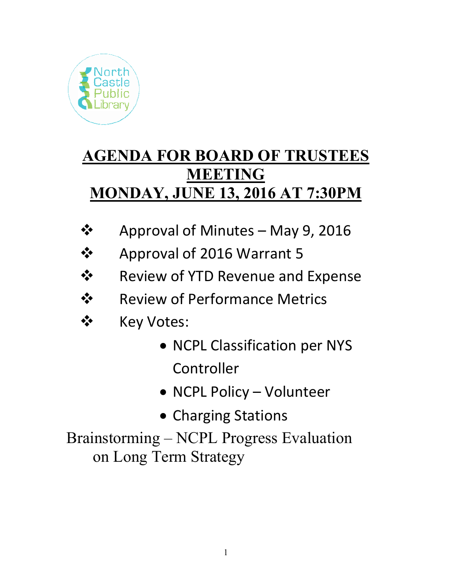

## **AGENDA FOR BOARD OF TRUSTEES MEETING MONDAY, JUNE 13, 2016 AT 7:30PM**

- **❖** Approval of Minutes May 9, 2016
- ❖ Approval of 2016 Warrant 5
- Review of YTD Revenue and Expense
- **❖** Review of Performance Metrics
- ❖ Key Votes:
	- NCPL Classification per NYS Controller
	- NCPL Policy Volunteer
	- Charging Stations

Brainstorming – NCPL Progress Evaluation on Long Term Strategy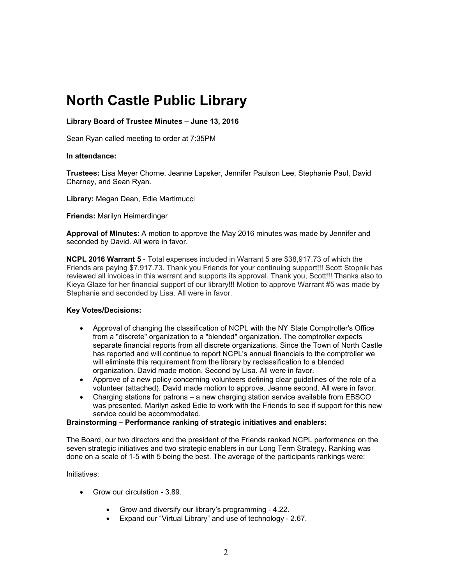### **North Castle Public Library**

#### **Library Board of Trustee Minutes – June 13, 2016**

Sean Ryan called meeting to order at 7:35PM

#### **In attendance:**

**Trustees:** Lisa Meyer Chorne, Jeanne Lapsker, Jennifer Paulson Lee, Stephanie Paul, David Charney, and Sean Ryan.

**Library:** Megan Dean, Edie Martimucci

**Friends:** Marilyn Heimerdinger

**Approval of Minutes**: A motion to approve the May 2016 minutes was made by Jennifer and seconded by David. All were in favor.

**NCPL 2016 Warrant 5** - Total expenses included in Warrant 5 are \$38,917.73 of which the Friends are paying \$7,917.73. Thank you Friends for your continuing support!!! Scott Stopnik has reviewed all invoices in this warrant and supports its approval. Thank you, Scott!!! Thanks also to Kieya Glaze for her financial support of our library!!! Motion to approve Warrant #5 was made by Stephanie and seconded by Lisa. All were in favor.

#### **Key Votes/Decisions:**

- Approval of changing the classification of NCPL with the NY State Comptroller's Office from a "discrete" organization to a "blended" organization. The comptroller expects separate financial reports from all discrete organizations. Since the Town of North Castle has reported and will continue to report NCPL's annual financials to the comptroller we will eliminate this requirement from the library by reclassification to a blended organization. David made motion. Second by Lisa. All were in favor.
- Approve of a new policy concerning volunteers defining clear guidelines of the role of a volunteer (attached). David made motion to approve. Jeanne second. All were in favor.
- Charging stations for patrons a new charging station service available from EBSCO was presented. Marilyn asked Edie to work with the Friends to see if support for this new service could be accommodated.

#### **Brainstorming – Performance ranking of strategic initiatives and enablers:**

The Board, our two directors and the president of the Friends ranked NCPL performance on the seven strategic initiatives and two strategic enablers in our Long Term Strategy. Ranking was done on a scale of 1-5 with 5 being the best. The average of the participants rankings were:

#### Initiatives:

- Grow our circulation 3.89.
	- Grow and diversify our library's programming 4.22.
	- Expand our "Virtual Library" and use of technology 2.67.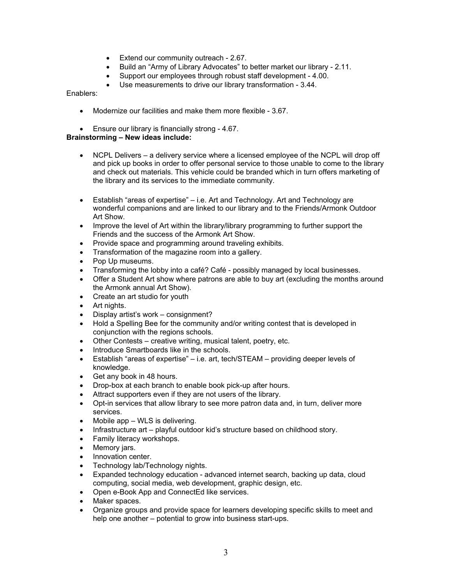- **Extend our community outreach 2.67.**
- Build an "Army of Library Advocates" to better market our library 2.11.
- Support our employees through robust staff development 4.00.
- Use measurements to drive our library transformation 3.44.

Enablers:

- Modernize our facilities and make them more flexible 3.67.
- Ensure our library is financially strong 4.67.

#### **Brainstorming – New ideas include:**

- NCPL Delivers a delivery service where a licensed employee of the NCPL will drop off and pick up books in order to offer personal service to those unable to come to the library and check out materials. This vehicle could be branded which in turn offers marketing of the library and its services to the immediate community.
- Establish "areas of expertise" i.e. Art and Technology. Art and Technology are wonderful companions and are linked to our library and to the Friends/Armonk Outdoor Art Show.
- Improve the level of Art within the library/library programming to further support the Friends and the success of the Armonk Art Show.
- Provide space and programming around traveling exhibits.
- Transformation of the magazine room into a gallery.
- Pop Up museums.
- Transforming the lobby into a café? Café possibly managed by local businesses.
- Offer a Student Art show where patrons are able to buy art (excluding the months around the Armonk annual Art Show).
- Create an art studio for youth
- Art nights.
- Display artist's work consignment?
- Hold a Spelling Bee for the community and/or writing contest that is developed in conjunction with the regions schools.
- Other Contests creative writing, musical talent, poetry, etc.
- Introduce Smartboards like in the schools.
- Establish "areas of expertise" i.e. art, tech/STEAM providing deeper levels of knowledge.
- Get any book in 48 hours.
- Drop-box at each branch to enable book pick-up after hours.
- Attract supporters even if they are not users of the library.
- Opt-in services that allow library to see more patron data and, in turn, deliver more services.
- Mobile app WLS is delivering.
- Infrastructure art playful outdoor kid's structure based on childhood story.
- Family literacy workshops.
- Memory jars.
- Innovation center.
- Technology lab/Technology nights.
- Expanded technology education advanced internet search, backing up data, cloud computing, social media, web development, graphic design, etc.
- Open e-Book App and ConnectEd like services.
- Maker spaces.
- Organize groups and provide space for learners developing specific skills to meet and help one another – potential to grow into business start-ups.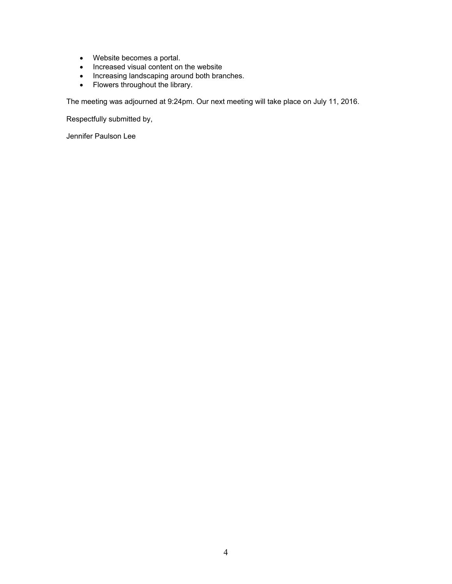- Website becomes a portal.
- Increased visual content on the website
- Increasing landscaping around both branches.
- Flowers throughout the library.

The meeting was adjourned at 9:24pm. Our next meeting will take place on July 11, 2016.

Respectfully submitted by,

Jennifer Paulson Lee